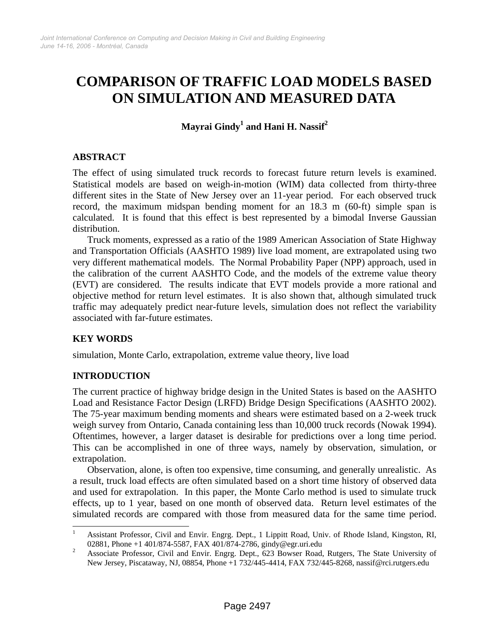# **COMPARISON OF TRAFFIC LOAD MODELS BASED ON SIMULATION AND MEASURED DATA**

**Mayrai Gindy[1](#page-0-0) and Hani H. Nassif[2](#page-0-1)**

# **ABSTRACT**

The effect of using simulated truck records to forecast future return levels is examined. Statistical models are based on weigh-in-motion (WIM) data collected from thirty-three different sites in the State of New Jersey over an 11-year period. For each observed truck record, the maximum midspan bending moment for an 18.3 m (60-ft) simple span is calculated. It is found that this effect is best represented by a bimodal Inverse Gaussian distribution.

Truck moments, expressed as a ratio of the 1989 American Association of State Highway and Transportation Officials (AASHTO 1989) live load moment, are extrapolated using two very different mathematical models. The Normal Probability Paper (NPP) approach, used in the calibration of the current AASHTO Code, and the models of the extreme value theory (EVT) are considered. The results indicate that EVT models provide a more rational and objective method for return level estimates. It is also shown that, although simulated truck traffic may adequately predict near-future levels, simulation does not reflect the variability associated with far-future estimates.

# **KEY WORDS**

simulation, Monte Carlo, extrapolation, extreme value theory, live load

# **INTRODUCTION**

The current practice of highway bridge design in the United States is based on the AASHTO Load and Resistance Factor Design (LRFD) Bridge Design Specifications (AASHTO 2002). The 75-year maximum bending moments and shears were estimated based on a 2-week truck weigh survey from Ontario, Canada containing less than 10,000 truck records (Nowak 1994). Oftentimes, however, a larger dataset is desirable for predictions over a long time period. This can be accomplished in one of three ways, namely by observation, simulation, or extrapolation.

Observation, alone, is often too expensive, time consuming, and generally unrealistic. As a result, truck load effects are often simulated based on a short time history of observed data and used for extrapolation. In this paper, the Monte Carlo method is used to simulate truck effects, up to 1 year, based on one month of observed data. Return level estimates of the simulated records are compared with those from measured data for the same time period.

<span id="page-0-0"></span> $\frac{1}{1}$  Assistant Professor, Civil and Envir. Engrg. Dept., 1 Lippitt Road, Univ. of Rhode Island, Kingston, RI, 02881, Phone +1 401/874-5587, FAX 401/874-2786, gindy@egr.uri.edu 2<br>2 Associate Professor, Givil and Envir, Factor, Dont, 623 Poweer Boad

<span id="page-0-1"></span>Associate Professor, Civil and Envir. Engrg. Dept., 623 Bowser Road, Rutgers, The State University of New Jersey, Piscataway, NJ, 08854, Phone +1 732/445-4414, FAX 732/445-8268, nassif@rci.rutgers.edu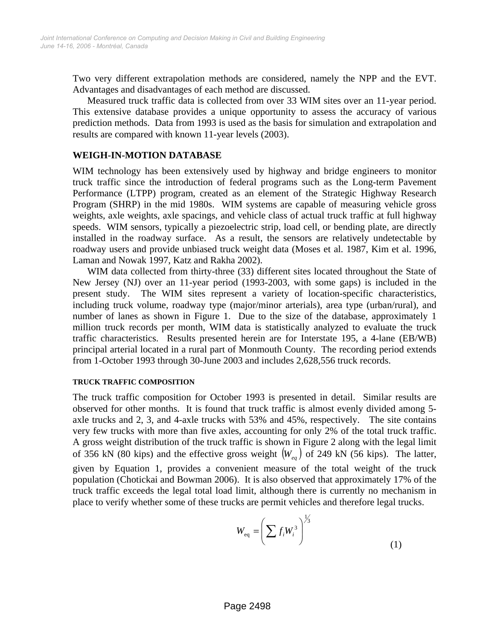Two very different extrapolation methods are considered, namely the NPP and the EVT. Advantages and disadvantages of each method are discussed.

Measured truck traffic data is collected from over 33 WIM sites over an 11-year period. This extensive database provides a unique opportunity to assess the accuracy of various prediction methods. Data from 1993 is used as the basis for simulation and extrapolation and results are compared with known 11-year levels (2003).

## **WEIGH-IN-MOTION DATABASE**

WIM technology has been extensively used by highway and bridge engineers to monitor truck traffic since the introduction of federal programs such as the Long-term Pavement Performance (LTPP) program, created as an element of the Strategic Highway Research Program (SHRP) in the mid 1980s. WIM systems are capable of measuring vehicle gross weights, axle weights, axle spacings, and vehicle class of actual truck traffic at full highway speeds. WIM sensors, typically a piezoelectric strip, load cell, or bending plate, are directly installed in the roadway surface. As a result, the sensors are relatively undetectable by roadway users and provide unbiased truck weight data (Moses et al. 1987, Kim et al. 1996, Laman and Nowak 1997, Katz and Rakha 2002).

WIM data collected from thirty-three (33) different sites located throughout the State of New Jersey (NJ) over an 11-year period (1993-2003, with some gaps) is included in the present study. The WIM sites represent a variety of location-specific characteristics, including truck volume, roadway type (major/minor arterials), area type (urban/rural), and number of lanes as shown in Figure 1. Due to the size of the database, approximately 1 million truck records per month, WIM data is statistically analyzed to evaluate the truck traffic characteristics. Results presented herein are for Interstate 195, a 4-lane (EB/WB) principal arterial located in a rural part of Monmouth County. The recording period extends from 1-October 1993 through 30-June 2003 and includes 2,628,556 truck records.

#### **TRUCK TRAFFIC COMPOSITION**

The truck traffic composition for October 1993 is presented in detail. Similar results are observed for other months. It is found that truck traffic is almost evenly divided among 5 axle trucks and 2, 3, and 4-axle trucks with 53% and 45%, respectively. The site contains very few trucks with more than five axles, accounting for only 2% of the total truck traffic. A gross weight distribution of the truck traffic is shown in Figure 2 along with the legal limit of 356 kN (80 kips) and the effective gross weight  $(W_{eq})$  of 249 kN (56 kips). The latter, given by Equation 1, provides a convenient measure of the total weight of the truck population (Chotickai and Bowman 2006). It is also observed that approximately 17% of the truck traffic exceeds the legal total load limit, although there is currently no mechanism in place to verify whether some of these trucks are permit vehicles and therefore legal trucks.

$$
W_{\text{eq}} = \left(\sum f_i W_i^3\right)^{\frac{1}{3}}
$$
\n(1)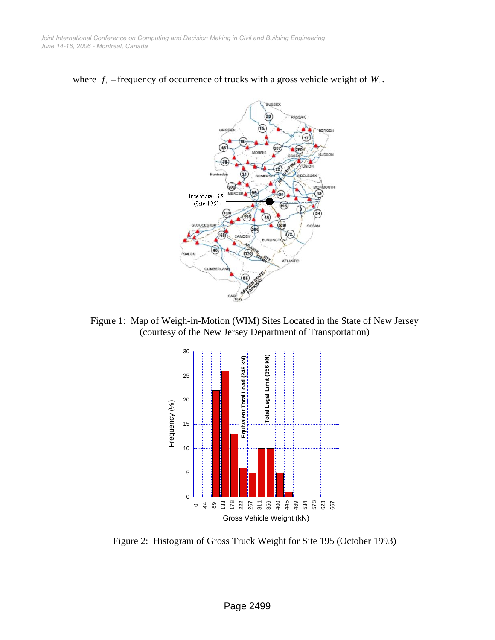



Figure 1: Map of Weigh-in-Motion (WIM) Sites Located in the State of New Jersey (courtesy of the New Jersey Department of Transportation)



Figure 2: Histogram of Gross Truck Weight for Site 195 (October 1993)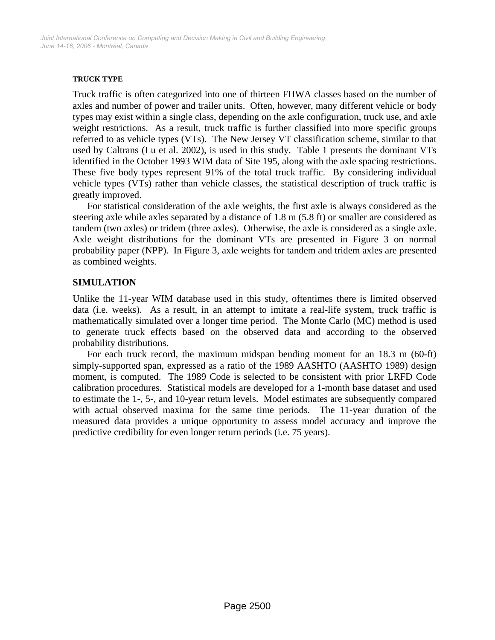#### **TRUCK TYPE**

Truck traffic is often categorized into one of thirteen FHWA classes based on the number of axles and number of power and trailer units. Often, however, many different vehicle or body types may exist within a single class, depending on the axle configuration, truck use, and axle weight restrictions. As a result, truck traffic is further classified into more specific groups referred to as vehicle types (VTs). The New Jersey VT classification scheme, similar to that used by Caltrans (Lu et al. 2002), is used in this study. Table 1 presents the dominant VTs identified in the October 1993 WIM data of Site 195, along with the axle spacing restrictions. These five body types represent 91% of the total truck traffic. By considering individual vehicle types (VTs) rather than vehicle classes, the statistical description of truck traffic is greatly improved.

For statistical consideration of the axle weights, the first axle is always considered as the steering axle while axles separated by a distance of 1.8 m (5.8 ft) or smaller are considered as tandem (two axles) or tridem (three axles). Otherwise, the axle is considered as a single axle. Axle weight distributions for the dominant VTs are presented in Figure 3 on normal probability paper (NPP). In Figure 3, axle weights for tandem and tridem axles are presented as combined weights.

# **SIMULATION**

Unlike the 11-year WIM database used in this study, oftentimes there is limited observed data (i.e. weeks). As a result, in an attempt to imitate a real-life system, truck traffic is mathematically simulated over a longer time period. The Monte Carlo (MC) method is used to generate truck effects based on the observed data and according to the observed probability distributions.

For each truck record, the maximum midspan bending moment for an 18.3 m (60-ft) simply-supported span, expressed as a ratio of the 1989 AASHTO (AASHTO 1989) design moment, is computed. The 1989 Code is selected to be consistent with prior LRFD Code calibration procedures. Statistical models are developed for a 1-month base dataset and used to estimate the 1-, 5-, and 10-year return levels. Model estimates are subsequently compared with actual observed maxima for the same time periods. The 11-year duration of the measured data provides a unique opportunity to assess model accuracy and improve the predictive credibility for even longer return periods (i.e. 75 years).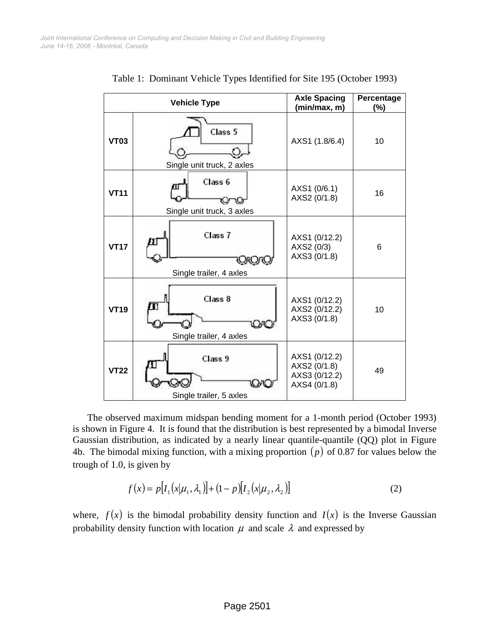| <b>Vehicle Type</b> |                                            | <b>Axle Spacing</b><br>(min/max, m)                            | Percentage<br>(%) |
|---------------------|--------------------------------------------|----------------------------------------------------------------|-------------------|
| <b>VT03</b>         | Class 5<br>Single unit truck, 2 axles      | AXS1 (1.8/6.4)                                                 | 10                |
| <b>VT11</b>         | Class 6<br>v<br>Single unit truck, 3 axles | AXS1 (0/6.1)<br>AXS2 (0/1.8)                                   | 16                |
| <b>VT17</b>         | Class 7<br>Single trailer, 4 axles         | AXS1 (0/12.2)<br>AXS2 (0/3)<br>AXS3 (0/1.8)                    | 6                 |
| <b>VT19</b>         | Class 8<br>ЮΜ<br>Single trailer, 4 axles   | AXS1 (0/12.2)<br>AXS2 (0/12.2)<br>AXS3 (0/1.8)                 | 10                |
| <b>VT22</b>         | Class 9<br>Single trailer, 5 axles         | AXS1 (0/12.2)<br>AXS2 (0/1.8)<br>AXS3 (0/12.2)<br>AXS4 (0/1.8) | 49                |

Table 1: Dominant Vehicle Types Identified for Site 195 (October 1993)

The observed maximum midspan bending moment for a 1-month period (October 1993) is shown in Figure 4. It is found that the distribution is best represented by a bimodal Inverse Gaussian distribution, as indicated by a nearly linear quantile-quantile (QQ) plot in Figure 4b. The bimodal mixing function, with a mixing proportion  $(p)$  of 0.87 for values below the trough of 1.0, is given by

$$
f(x) = p[I_1(x|\mu_1, \lambda_1)] + (1 - p)[I_2(x|\mu_2, \lambda_2)]
$$
 (2)

where,  $f(x)$  is the bimodal probability density function and  $I(x)$  is the Inverse Gaussian probability density function with location  $\mu$  and scale  $\lambda$  and expressed by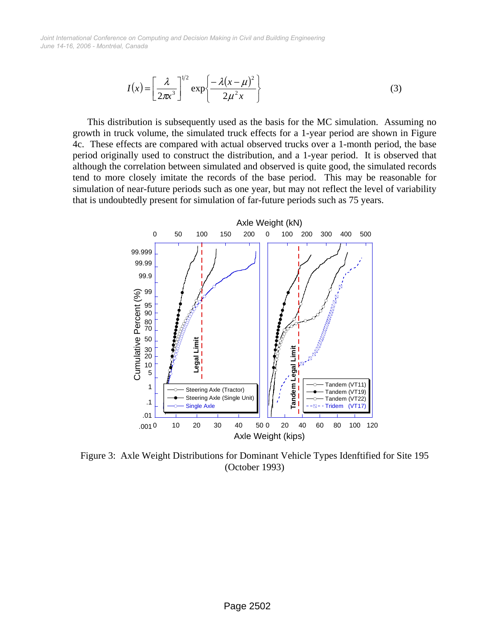*June 14-16, 2006 - Montréal, Canada Joint International Conference on Computing and Decision Making in Civil and Building Engineering*

$$
I(x) = \left[\frac{\lambda}{2\pi x^3}\right]^{1/2} \exp\left\{-\frac{\lambda(x-\mu)^2}{2\mu^2 x}\right\}
$$
 (3)

This distribution is subsequently used as the basis for the MC simulation. Assuming no growth in truck volume, the simulated truck effects for a 1-year period are shown in Figure 4c. These effects are compared with actual observed trucks over a 1-month period, the base period originally used to construct the distribution, and a 1-year period. It is observed that although the correlation between simulated and observed is quite good, the simulated records tend to more closely imitate the records of the base period. This may be reasonable for simulation of near-future periods such as one year, but may not reflect the level of variability that is undoubtedly present for simulation of far-future periods such as 75 years.



Figure 3: Axle Weight Distributions for Dominant Vehicle Types Idenftified for Site 195 (October 1993)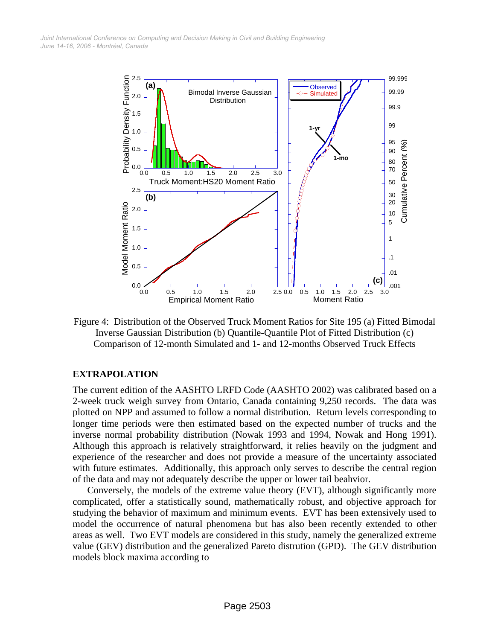

Figure 4: Distribution of the Observed Truck Moment Ratios for Site 195 (a) Fitted Bimodal Inverse Gaussian Distribution (b) Quantile-Quantile Plot of Fitted Distribution (c) Comparison of 12-month Simulated and 1- and 12-months Observed Truck Effects

## **EXTRAPOLATION**

The current edition of the AASHTO LRFD Code (AASHTO 2002) was calibrated based on a 2-week truck weigh survey from Ontario, Canada containing 9,250 records. The data was plotted on NPP and assumed to follow a normal distribution. Return levels corresponding to longer time periods were then estimated based on the expected number of trucks and the inverse normal probability distribution (Nowak 1993 and 1994, Nowak and Hong 1991). Although this approach is relatively straightforward, it relies heavily on the judgment and experience of the researcher and does not provide a measure of the uncertainty associated with future estimates. Additionally, this approach only serves to describe the central region of the data and may not adequately describe the upper or lower tail beahvior.

Conversely, the models of the extreme value theory (EVT), although significantly more complicated, offer a statistically sound, mathematically robust, and objective approach for studying the behavior of maximum and minimum events. EVT has been extensively used to model the occurrence of natural phenomena but has also been recently extended to other areas as well. Two EVT models are considered in this study, namely the generalized extreme value (GEV) distribution and the generalized Pareto distrution (GPD). The GEV distribution models block maxima according to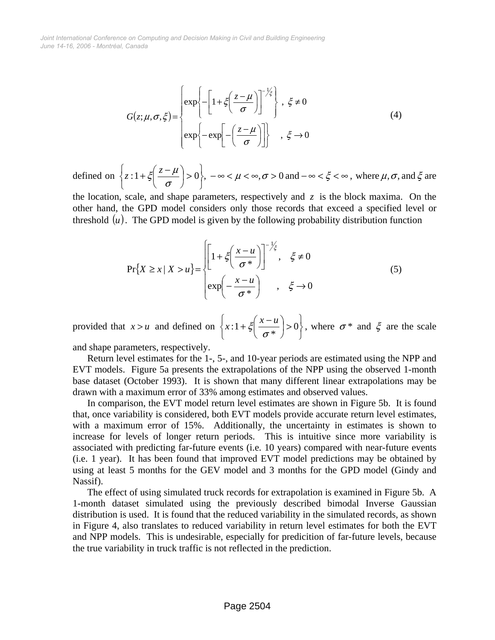*June 14-16, 2006 - Montréal, Canada Joint International Conference on Computing and Decision Making in Civil and Building Engineering*

$$
G(z; \mu, \sigma, \xi) = \begin{cases} \exp\left\{-\left[1 + \xi\left(\frac{z - \mu}{\sigma}\right)\right]^{-1/\xi}\right\}, & \xi \neq 0\\ \exp\left\{-\exp\left[-\left(\frac{z - \mu}{\sigma}\right)\right]\right\}, & \xi \to 0 \end{cases}
$$
(4)

defined on  $\left\{ z: 1 + \xi \left( \frac{z - \mu}{\sigma} \right) > 0 \right\}, -\infty < \mu < \infty, \sigma > 0 \text{ and } -\infty < \xi < \infty$  $\vert$  $\overline{a}$  $\left\{z:1+\xi\left(\frac{z-\mu}{2}\right)\right\}$ ⎠  $\left(\frac{z-\mu}{\sigma}\right)$ ⎝  $z: 1 + \xi \left( \frac{z - \mu}{\sigma} \right) > 0, \, -\infty < \mu < \infty, \sigma > 0 \text{ and } -\infty < \xi < \infty$ , where  $\mu, \sigma$ , and  $\xi$  are

the location, scale, and shape parameters, respectively and  $z$  is the block maxima. On the other hand, the GPD model considers only those records that exceed a specified level or threshold  $(u)$ . The GPD model is given by the following probability distribution function

$$
\Pr\{X \ge x \mid X > u\} = \begin{cases} \left[1 + \xi \left(\frac{x - u}{\sigma^*}\right)\right]^{-\frac{1}{\xi}}, & \xi \ne 0\\ \exp\left(-\frac{x - u}{\sigma^*}\right) & ,amp; \xi \to 0 \end{cases} \tag{5}
$$

provided that  $x > u$  and defined on ⎭  $\left\{ \right\}$  $\frac{1}{2}$  $\overline{a}$  $\left\{x:1+\xi\left(\frac{x-u}{\xi}\right)\right\}$ ⎠  $\left(\frac{x-u}{u}\right)$ ⎝  $+\xi\left(\frac{x-u}{x}\right) > 0$ \*  $x: 1 + \xi \left( \frac{x - u}{\sigma^*} \right) > 0$ , where  $\sigma^*$  and  $\xi$  are the scale

and shape parameters, respectively.

Return level estimates for the 1-, 5-, and 10-year periods are estimated using the NPP and EVT models. Figure 5a presents the extrapolations of the NPP using the observed 1-month base dataset (October 1993). It is shown that many different linear extrapolations may be drawn with a maximum error of 33% among estimates and observed values.

In comparison, the EVT model return level estimates are shown in Figure 5b. It is found that, once variability is considered, both EVT models provide accurate return level estimates, with a maximum error of 15%. Additionally, the uncertainty in estimates is shown to increase for levels of longer return periods. This is intuitive since more variability is associated with predicting far-future events (i.e. 10 years) compared with near-future events (i.e. 1 year). It has been found that improved EVT model predictions may be obtained by using at least 5 months for the GEV model and 3 months for the GPD model (Gindy and Nassif).

The effect of using simulated truck records for extrapolation is examined in Figure 5b. A 1-month dataset simulated using the previously described bimodal Inverse Gaussian distribution is used. It is found that the reduced variability in the simulated records, as shown in Figure 4, also translates to reduced variability in return level estimates for both the EVT and NPP models. This is undesirable, especially for predicition of far-future levels, because the true variability in truck traffic is not reflected in the prediction.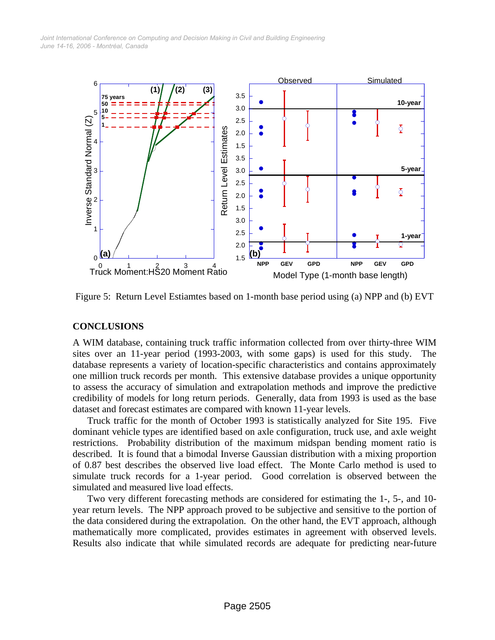

Figure 5: Return Level Estiamtes based on 1-month base period using (a) NPP and (b) EVT

# **CONCLUSIONS**

A WIM database, containing truck traffic information collected from over thirty-three WIM sites over an 11-year period (1993-2003, with some gaps) is used for this study. The database represents a variety of location-specific characteristics and contains approximately one million truck records per month. This extensive database provides a unique opportunity to assess the accuracy of simulation and extrapolation methods and improve the predictive credibility of models for long return periods. Generally, data from 1993 is used as the base dataset and forecast estimates are compared with known 11-year levels.

Truck traffic for the month of October 1993 is statistically analyzed for Site 195. Five dominant vehicle types are identified based on axle configuration, truck use, and axle weight restrictions. Probability distribution of the maximum midspan bending moment ratio is described. It is found that a bimodal Inverse Gaussian distribution with a mixing proportion of 0.87 best describes the observed live load effect. The Monte Carlo method is used to simulate truck records for a 1-year period. Good correlation is observed between the simulated and measured live load effects.

Two very different forecasting methods are considered for estimating the 1-, 5-, and 10 year return levels. The NPP approach proved to be subjective and sensitive to the portion of the data considered during the extrapolation. On the other hand, the EVT approach, although mathematically more complicated, provides estimates in agreement with observed levels. Results also indicate that while simulated records are adequate for predicting near-future